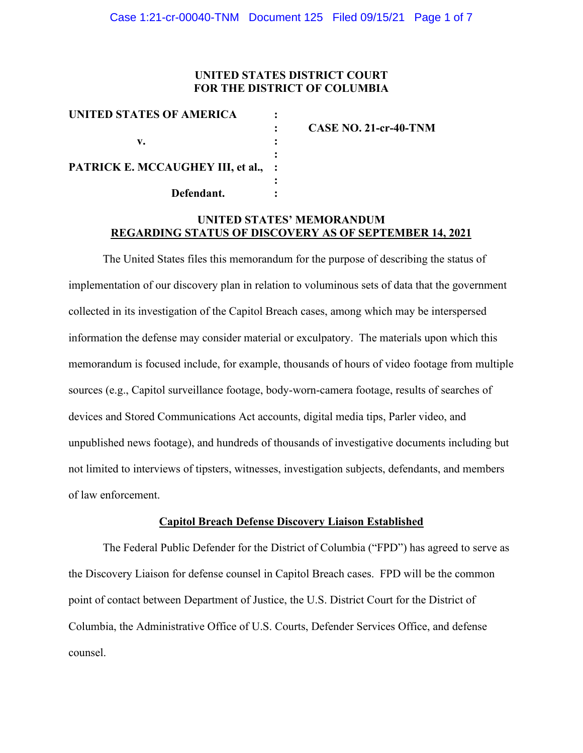## **UNITED STATES DISTRICT COURT FOR THE DISTRICT OF COLUMBIA**

| CASE NO. 21-cr-40-TNM               |
|-------------------------------------|
|                                     |
|                                     |
|                                     |
|                                     |
|                                     |
| PATRICK E. MCCAUGHEY III, et al., : |

# **UNITED STATES' MEMORANDUM REGARDING STATUS OF DISCOVERY AS OF SEPTEMBER 14, 2021**

The United States files this memorandum for the purpose of describing the status of implementation of our discovery plan in relation to voluminous sets of data that the government collected in its investigation of the Capitol Breach cases, among which may be interspersed information the defense may consider material or exculpatory. The materials upon which this memorandum is focused include, for example, thousands of hours of video footage from multiple sources (e.g., Capitol surveillance footage, body-worn-camera footage, results of searches of devices and Stored Communications Act accounts, digital media tips, Parler video, and unpublished news footage), and hundreds of thousands of investigative documents including but not limited to interviews of tipsters, witnesses, investigation subjects, defendants, and members of law enforcement.

#### **Capitol Breach Defense Discovery Liaison Established**

The Federal Public Defender for the District of Columbia ("FPD") has agreed to serve as the Discovery Liaison for defense counsel in Capitol Breach cases. FPD will be the common point of contact between Department of Justice, the U.S. District Court for the District of Columbia, the Administrative Office of U.S. Courts, Defender Services Office, and defense counsel.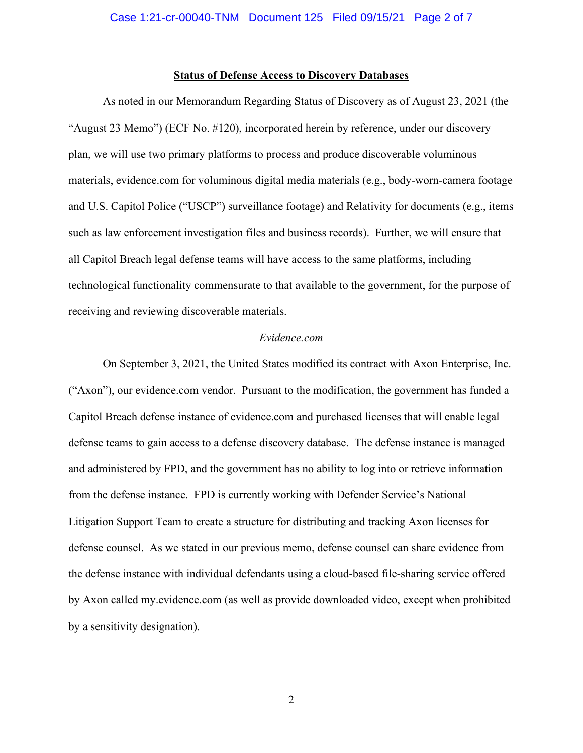## **Status of Defense Access to Discovery Databases**

As noted in our Memorandum Regarding Status of Discovery as of August 23, 2021 (the "August 23 Memo") (ECF No. #120), incorporated herein by reference, under our discovery plan, we will use two primary platforms to process and produce discoverable voluminous materials, evidence.com for voluminous digital media materials (e.g., body-worn-camera footage and U.S. Capitol Police ("USCP") surveillance footage) and Relativity for documents (e.g., items such as law enforcement investigation files and business records). Further, we will ensure that all Capitol Breach legal defense teams will have access to the same platforms, including technological functionality commensurate to that available to the government, for the purpose of receiving and reviewing discoverable materials.

#### *Evidence.com*

On September 3, 2021, the United States modified its contract with Axon Enterprise, Inc. ("Axon"), our evidence.com vendor. Pursuant to the modification, the government has funded a Capitol Breach defense instance of evidence.com and purchased licenses that will enable legal defense teams to gain access to a defense discovery database. The defense instance is managed and administered by FPD, and the government has no ability to log into or retrieve information from the defense instance. FPD is currently working with Defender Service's National Litigation Support Team to create a structure for distributing and tracking Axon licenses for defense counsel. As we stated in our previous memo, defense counsel can share evidence from the defense instance with individual defendants using a cloud-based file-sharing service offered by Axon called my.evidence.com (as well as provide downloaded video, except when prohibited by a sensitivity designation).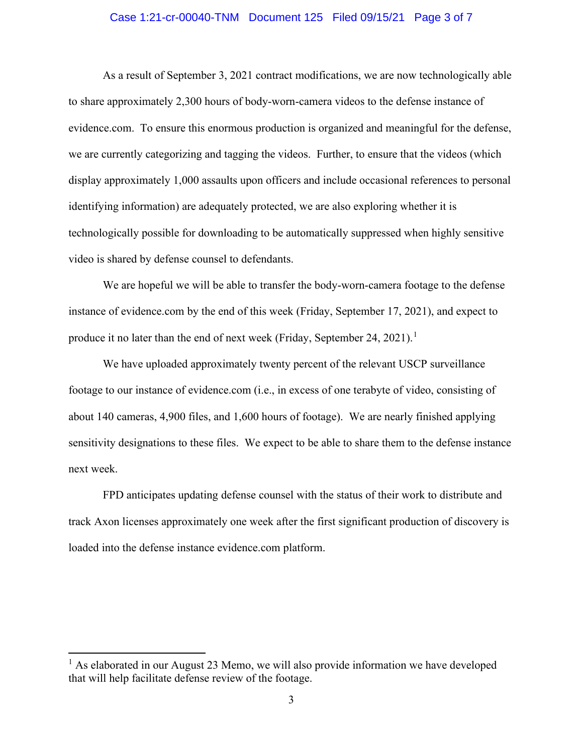## Case 1:21-cr-00040-TNM Document 125 Filed 09/15/21 Page 3 of 7

As a result of September 3, 2021 contract modifications, we are now technologically able to share approximately 2,300 hours of body-worn-camera videos to the defense instance of evidence.com. To ensure this enormous production is organized and meaningful for the defense, we are currently categorizing and tagging the videos. Further, to ensure that the videos (which display approximately 1,000 assaults upon officers and include occasional references to personal identifying information) are adequately protected, we are also exploring whether it is technologically possible for downloading to be automatically suppressed when highly sensitive video is shared by defense counsel to defendants.

We are hopeful we will be able to transfer the body-worn-camera footage to the defense instance of evidence.com by the end of this week (Friday, September 17, 2021), and expect to produce it no later than the end of next week (Friday, September 24, 2021).<sup>1</sup>

We have uploaded approximately twenty percent of the relevant USCP surveillance footage to our instance of evidence.com (i.e., in excess of one terabyte of video, consisting of about 140 cameras, 4,900 files, and 1,600 hours of footage). We are nearly finished applying sensitivity designations to these files. We expect to be able to share them to the defense instance next week.

FPD anticipates updating defense counsel with the status of their work to distribute and track Axon licenses approximately one week after the first significant production of discovery is loaded into the defense instance evidence.com platform.

 $<sup>1</sup>$  As elaborated in our August 23 Memo, we will also provide information we have developed</sup> that will help facilitate defense review of the footage.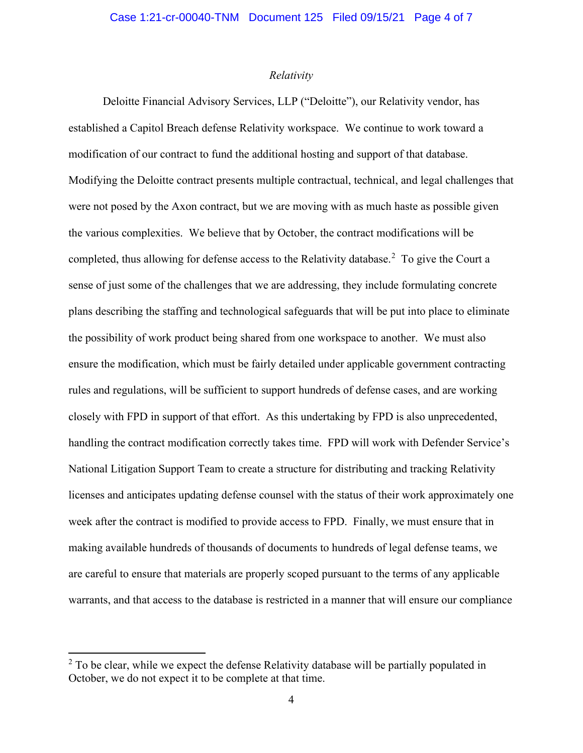## *Relativity*

Deloitte Financial Advisory Services, LLP ("Deloitte"), our Relativity vendor, has established a Capitol Breach defense Relativity workspace. We continue to work toward a modification of our contract to fund the additional hosting and support of that database. Modifying the Deloitte contract presents multiple contractual, technical, and legal challenges that were not posed by the Axon contract, but we are moving with as much haste as possible given the various complexities. We believe that by October, the contract modifications will be completed, thus allowing for defense access to the Relativity database.<sup>2</sup> To give the Court a sense of just some of the challenges that we are addressing, they include formulating concrete plans describing the staffing and technological safeguards that will be put into place to eliminate the possibility of work product being shared from one workspace to another. We must also ensure the modification, which must be fairly detailed under applicable government contracting rules and regulations, will be sufficient to support hundreds of defense cases, and are working closely with FPD in support of that effort. As this undertaking by FPD is also unprecedented, handling the contract modification correctly takes time. FPD will work with Defender Service's National Litigation Support Team to create a structure for distributing and tracking Relativity licenses and anticipates updating defense counsel with the status of their work approximately one week after the contract is modified to provide access to FPD. Finally, we must ensure that in making available hundreds of thousands of documents to hundreds of legal defense teams, we are careful to ensure that materials are properly scoped pursuant to the terms of any applicable warrants, and that access to the database is restricted in a manner that will ensure our compliance

 $2$  To be clear, while we expect the defense Relativity database will be partially populated in October, we do not expect it to be complete at that time.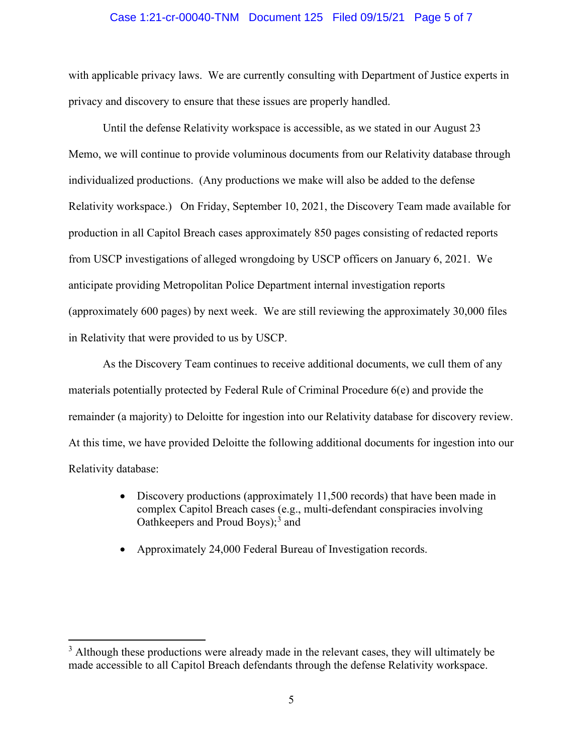#### Case 1:21-cr-00040-TNM Document 125 Filed 09/15/21 Page 5 of 7

with applicable privacy laws. We are currently consulting with Department of Justice experts in privacy and discovery to ensure that these issues are properly handled.

Until the defense Relativity workspace is accessible, as we stated in our August 23 Memo, we will continue to provide voluminous documents from our Relativity database through individualized productions. (Any productions we make will also be added to the defense Relativity workspace.) On Friday, September 10, 2021, the Discovery Team made available for production in all Capitol Breach cases approximately 850 pages consisting of redacted reports from USCP investigations of alleged wrongdoing by USCP officers on January 6, 2021. We anticipate providing Metropolitan Police Department internal investigation reports (approximately 600 pages) by next week. We are still reviewing the approximately 30,000 files in Relativity that were provided to us by USCP.

As the Discovery Team continues to receive additional documents, we cull them of any materials potentially protected by Federal Rule of Criminal Procedure 6(e) and provide the remainder (a majority) to Deloitte for ingestion into our Relativity database for discovery review. At this time, we have provided Deloitte the following additional documents for ingestion into our Relativity database:

- Discovery productions (approximately 11,500 records) that have been made in complex Capitol Breach cases (e.g., multi-defendant conspiracies involving Oathkeepers and Proud Boys); <sup>3</sup> and
- Approximately 24,000 Federal Bureau of Investigation records.

 $3$  Although these productions were already made in the relevant cases, they will ultimately be made accessible to all Capitol Breach defendants through the defense Relativity workspace.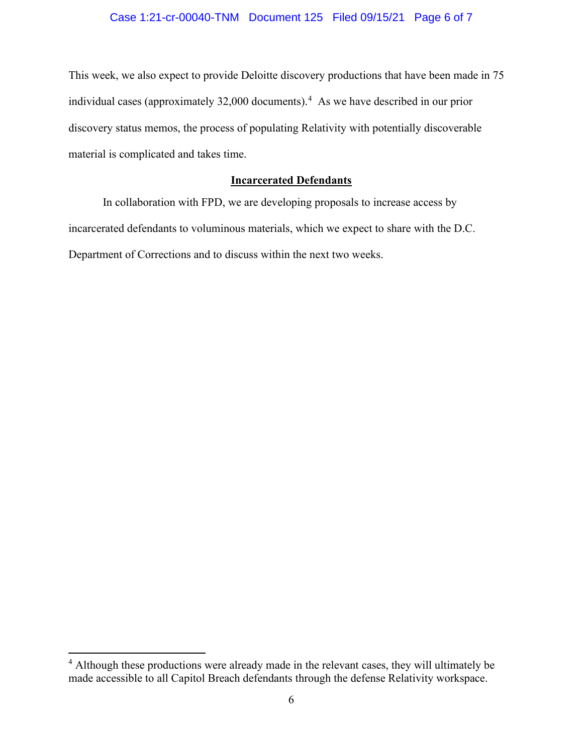# Case 1:21-cr-00040-TNM Document 125 Filed 09/15/21 Page 6 of 7

This week, we also expect to provide Deloitte discovery productions that have been made in 75 individual cases (approximately 32,000 documents). 4 As we have described in our prior discovery status memos, the process of populating Relativity with potentially discoverable material is complicated and takes time.

# **Incarcerated Defendants**

In collaboration with FPD, we are developing proposals to increase access by incarcerated defendants to voluminous materials, which we expect to share with the D.C. Department of Corrections and to discuss within the next two weeks.

<sup>&</sup>lt;sup>4</sup> Although these productions were already made in the relevant cases, they will ultimately be made accessible to all Capitol Breach defendants through the defense Relativity workspace.